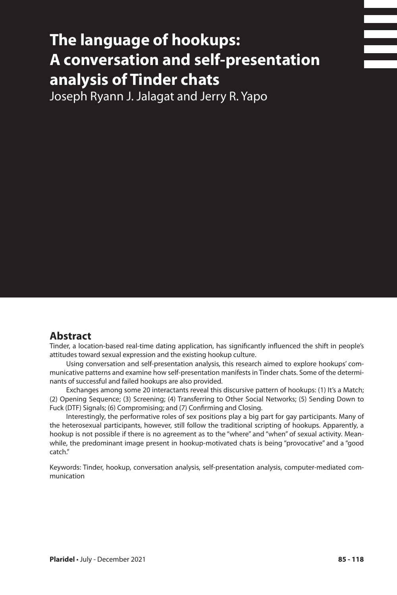# **The language of hookups: A conversation and self-presentation analysis of Tinder chats**

Joseph Ryann J. Jalagat and Jerry R. Yapo

### **Abstract**

Tinder, a location-based real-time dating application, has significantly influenced the shift in people's attitudes toward sexual expression and the existing hookup culture.

Using conversation and self-presentation analysis, this research aimed to explore hookups' communicative patterns and examine how self-presentation manifests in Tinder chats. Some of the determinants of successful and failed hookups are also provided.

Exchanges among some 20 interactants reveal this discursive pattern of hookups: (1) It's a Match; (2) Opening Sequence; (3) Screening; (4) Transferring to Other Social Networks; (5) Sending Down to Fuck (DTF) Signals; (6) Compromising; and (7) Confirming and Closing.

Interestingly, the performative roles of sex positions play a big part for gay participants. Many of the heterosexual participants, however, still follow the traditional scripting of hookups. Apparently, a hookup is not possible if there is no agreement as to the "where" and "when" of sexual activity. Meanwhile, the predominant image present in hookup-motivated chats is being "provocative" and a "good catch."

Keywords: Tinder, hookup, conversation analysis, self-presentation analysis, computer-mediated communication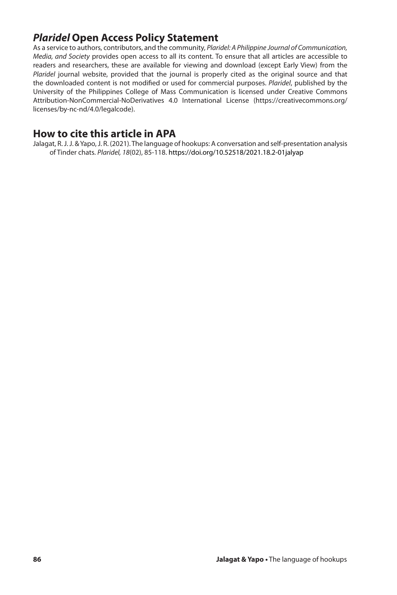# *Plaridel* **Open Access Policy Statement**

As a service to authors, contributors, and the community, *Plaridel: A Philippine Journal of Communication, Media, and Society* provides open access to all its content. To ensure that all articles are accessible to readers and researchers, these are available for viewing and download (except Early View) from the *Plaridel* journal website, provided that the journal is properly cited as the original source and that the downloaded content is not modified or used for commercial purposes. *Plaridel*, published by the University of the Philippines College of Mass Communication is licensed under Creative Commons Attribution-NonCommercial-NoDerivatives 4.0 International License (https://creativecommons.org/ licenses/by-nc-nd/4.0/legalcode).

## **How to cite this article in APA**

Jalagat, R. J. J. & Yapo, J. R. (2021). The language of hookups: A conversation and self-presentation analysis of Tinder chats. *Plaridel, 18*(02), 85-118. https://doi.org/10.52518/2021.18.2-01jalyap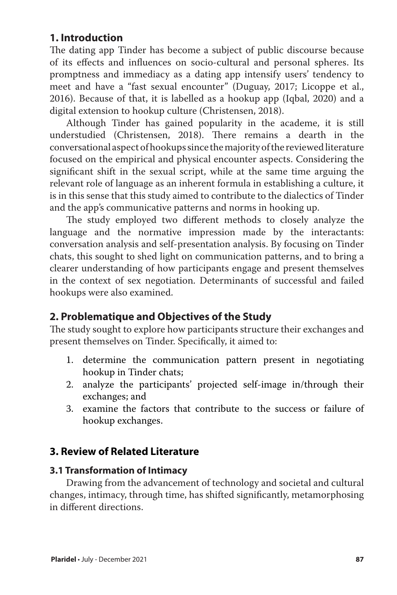# **1. Introduction**

The dating app Tinder has become a subject of public discourse because of its effects and influences on socio-cultural and personal spheres. Its promptness and immediacy as a dating app intensify users' tendency to meet and have a "fast sexual encounter" (Duguay, 2017; Licoppe et al., 2016). Because of that, it is labelled as a hookup app (Iqbal, 2020) and a digital extension to hookup culture (Christensen, 2018).

Although Tinder has gained popularity in the academe, it is still understudied (Christensen, 2018). There remains a dearth in the conversational aspect of hookups since the majority of the reviewed literature focused on the empirical and physical encounter aspects. Considering the significant shift in the sexual script, while at the same time arguing the relevant role of language as an inherent formula in establishing a culture, it is in this sense that this study aimed to contribute to the dialectics of Tinder and the app's communicative patterns and norms in hooking up.

The study employed two different methods to closely analyze the language and the normative impression made by the interactants: conversation analysis and self-presentation analysis. By focusing on Tinder chats, this sought to shed light on communication patterns, and to bring a clearer understanding of how participants engage and present themselves in the context of sex negotiation. Determinants of successful and failed hookups were also examined.

# **2. Problematique and Objectives of the Study**

The study sought to explore how participants structure their exchanges and present themselves on Tinder. Specifically, it aimed to:

- 1. determine the communication pattern present in negotiating hookup in Tinder chats;
- 2. analyze the participants' projected self-image in/through their exchanges; and
- 3. examine the factors that contribute to the success or failure of hookup exchanges.

# **3. Review of Related Literature**

## **3.1 Transformation of Intimacy**

Drawing from the advancement of technology and societal and cultural changes, intimacy, through time, has shifted significantly, metamorphosing in different directions.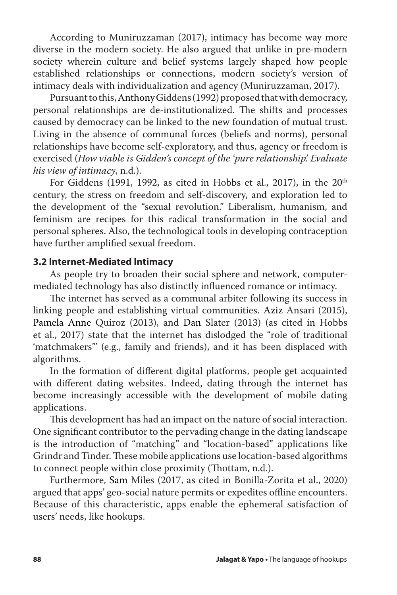According to Muniruzzaman (2017), intimacy has become way more diverse in the modern society. He also argued that unlike in pre-modern society wherein culture and belief systems largely shaped how people established relationships or connections, modern society's version of intimacy deals with individualization and agency (Muniruzzaman, 2017).

Pursuant to this, AnthonyGiddens (1992) proposed that with democracy, personal relationships are de-institutionalized. The shifts and processes caused by democracy can be linked to the new foundation of mutual trust. Living in the absence of communal forces (beliefs and norms), personal relationships have become self-exploratory, and thus, agency or freedom is exercised (*How viable is Gidden's concept of the 'pure relationship'. Evaluate his view of intimacy*, n.d.).

For Giddens (1991, 1992, as cited in Hobbs et al., 2017), in the  $20<sup>th</sup>$ century, the stress on freedom and self-discovery, and exploration led to the development of the "sexual revolution." Liberalism, humanism, and feminism are recipes for this radical transformation in the social and personal spheres. Also, the technological tools in developing contraception have further amplified sexual freedom.

#### **3.2 Internet-Mediated Intimacy**

As people try to broaden their social sphere and network, computermediated technology has also distinctly influenced romance or intimacy.

The internet has served as a communal arbiter following its success in linking people and establishing virtual communities. Aziz Ansari (2015), Pamela Anne Quiroz (2013), and Dan Slater (2013) (as cited in Hobbs et al., 2017) state that the internet has dislodged the "role of traditional 'matchmakers'" (e.g., family and friends), and it has been displaced with algorithms.

In the formation of different digital platforms, people get acquainted with different dating websites. Indeed, dating through the internet has become increasingly accessible with the development of mobile dating applications.

This development has had an impact on the nature of social interaction. One significant contributor to the pervading change in the dating landscape is the introduction of "matching" and "location-based" applications like Grindr and Tinder. These mobile applications use location-based algorithms to connect people within close proximity (Thottam, n.d.).

Furthermore, Sam Miles (2017, as cited in Bonilla-Zorita et al., 2020) argued that apps' geo-social nature permits or expedites offline encounters. Because of this characteristic, apps enable the ephemeral satisfaction of users' needs, like hookups.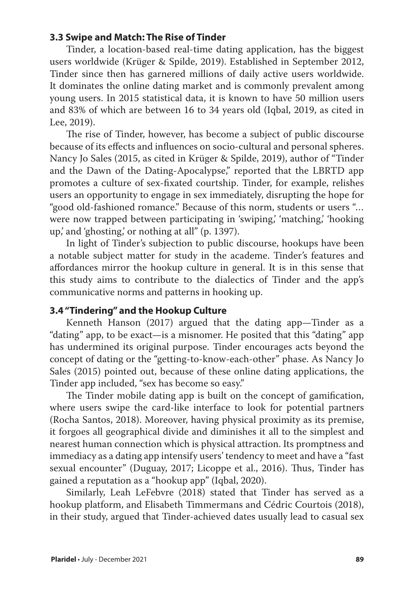#### **3.3 Swipe and Match: The Rise of Tinder**

Tinder, a location-based real-time dating application, has the biggest users worldwide (Krüger & Spilde, 2019). Established in September 2012, Tinder since then has garnered millions of daily active users worldwide. It dominates the online dating market and is commonly prevalent among young users. In 2015 statistical data, it is known to have 50 million users and 83% of which are between 16 to 34 years old (Iqbal, 2019, as cited in Lee, 2019).

The rise of Tinder, however, has become a subject of public discourse because of its effects and influences on socio-cultural and personal spheres. Nancy Jo Sales (2015, as cited in Krüger & Spilde, 2019), author of "Tinder and the Dawn of the Dating-Apocalypse," reported that the LBRTD app promotes a culture of sex-fixated courtship. Tinder, for example, relishes users an opportunity to engage in sex immediately, disrupting the hope for "good old-fashioned romance." Because of this norm, students or users "… were now trapped between participating in 'swiping,' 'matching,' 'hooking up,' and 'ghosting,' or nothing at all" (p. 1397).

In light of Tinder's subjection to public discourse, hookups have been a notable subject matter for study in the academe. Tinder's features and affordances mirror the hookup culture in general. It is in this sense that this study aims to contribute to the dialectics of Tinder and the app's communicative norms and patterns in hooking up.

#### **3.4 "Tindering" and the Hookup Culture**

Kenneth Hanson (2017) argued that the dating app—Tinder as a "dating" app, to be exact—is a misnomer. He posited that this "dating" app has undermined its original purpose. Tinder encourages acts beyond the concept of dating or the "getting-to-know-each-other" phase. As Nancy Jo Sales (2015) pointed out, because of these online dating applications, the Tinder app included, "sex has become so easy."

The Tinder mobile dating app is built on the concept of gamification, where users swipe the card-like interface to look for potential partners (Rocha Santos, 2018). Moreover, having physical proximity as its premise, it forgoes all geographical divide and diminishes it all to the simplest and nearest human connection which is physical attraction. Its promptness and immediacy as a dating app intensify users' tendency to meet and have a "fast sexual encounter" (Duguay, 2017; Licoppe et al., 2016). Thus, Tinder has gained a reputation as a "hookup app" (Iqbal, 2020).

Similarly, Leah LeFebvre (2018) stated that Tinder has served as a hookup platform, and Elisabeth Timmermans and Cédric Courtois (2018), in their study, argued that Tinder-achieved dates usually lead to casual sex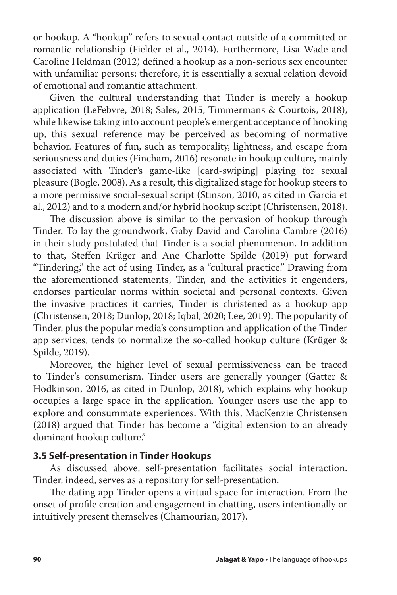or hookup. A "hookup" refers to sexual contact outside of a committed or romantic relationship (Fielder et al., 2014). Furthermore, Lisa Wade and Caroline Heldman (2012) defined a hookup as a non-serious sex encounter with unfamiliar persons; therefore, it is essentially a sexual relation devoid of emotional and romantic attachment.

Given the cultural understanding that Tinder is merely a hookup application (LeFebvre, 2018; Sales, 2015, Timmermans & Courtois, 2018), while likewise taking into account people's emergent acceptance of hooking up, this sexual reference may be perceived as becoming of normative behavior. Features of fun, such as temporality, lightness, and escape from seriousness and duties (Fincham, 2016) resonate in hookup culture, mainly associated with Tinder's game-like [card-swiping] playing for sexual pleasure (Bogle, 2008). As a result, this digitalized stage for hookup steers to a more permissive social-sexual script (Stinson, 2010, as cited in Garcia et al., 2012) and to a modern and/or hybrid hookup script (Christensen, 2018).

The discussion above is similar to the pervasion of hookup through Tinder. To lay the groundwork, Gaby David and Carolina Cambre (2016) in their study postulated that Tinder is a social phenomenon. In addition to that, Steffen Krüger and Ane Charlotte Spilde (2019) put forward "Tindering," the act of using Tinder, as a "cultural practice." Drawing from the aforementioned statements, Tinder, and the activities it engenders, endorses particular norms within societal and personal contexts. Given the invasive practices it carries, Tinder is christened as a hookup app (Christensen, 2018; Dunlop, 2018; Iqbal, 2020; Lee, 2019). The popularity of Tinder, plus the popular media's consumption and application of the Tinder app services, tends to normalize the so-called hookup culture (Krüger & Spilde, 2019).

Moreover, the higher level of sexual permissiveness can be traced to Tinder's consumerism. Tinder users are generally younger (Gatter & Hodkinson, 2016, as cited in Dunlop, 2018), which explains why hookup occupies a large space in the application. Younger users use the app to explore and consummate experiences. With this, MacKenzie Christensen (2018) argued that Tinder has become a "digital extension to an already dominant hookup culture."

#### **3.5 Self-presentation in Tinder Hookups**

As discussed above, self-presentation facilitates social interaction. Tinder, indeed, serves as a repository for self-presentation.

The dating app Tinder opens a virtual space for interaction. From the onset of profile creation and engagement in chatting, users intentionally or intuitively present themselves (Chamourian, 2017).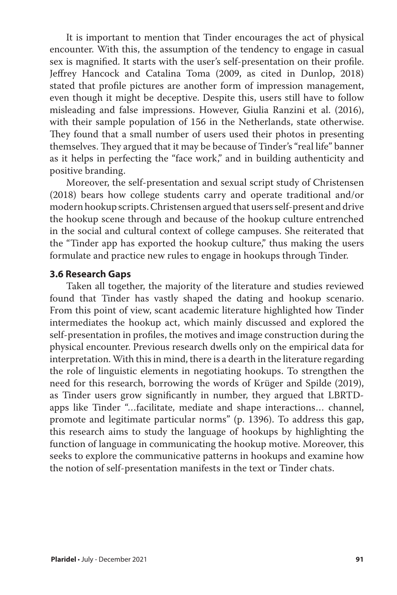It is important to mention that Tinder encourages the act of physical encounter. With this, the assumption of the tendency to engage in casual sex is magnified. It starts with the user's self-presentation on their profile. Jeffrey Hancock and Catalina Toma (2009, as cited in Dunlop, 2018) stated that profile pictures are another form of impression management, even though it might be deceptive. Despite this, users still have to follow misleading and false impressions. However, Giulia Ranzini et al. (2016), with their sample population of 156 in the Netherlands, state otherwise. They found that a small number of users used their photos in presenting themselves. They argued that it may be because of Tinder's "real life" banner as it helps in perfecting the "face work," and in building authenticity and positive branding.

Moreover, the self-presentation and sexual script study of Christensen (2018) bears how college students carry and operate traditional and/or modern hookup scripts. Christensen argued that users self-present and drive the hookup scene through and because of the hookup culture entrenched in the social and cultural context of college campuses. She reiterated that the "Tinder app has exported the hookup culture," thus making the users formulate and practice new rules to engage in hookups through Tinder.

#### **3.6 Research Gaps**

Taken all together, the majority of the literature and studies reviewed found that Tinder has vastly shaped the dating and hookup scenario. From this point of view, scant academic literature highlighted how Tinder intermediates the hookup act, which mainly discussed and explored the self-presentation in profiles, the motives and image construction during the physical encounter. Previous research dwells only on the empirical data for interpretation. With this in mind, there is a dearth in the literature regarding the role of linguistic elements in negotiating hookups. To strengthen the need for this research, borrowing the words of Krüger and Spilde (2019), as Tinder users grow significantly in number, they argued that LBRTDapps like Tinder "…facilitate, mediate and shape interactions… channel, promote and legitimate particular norms" (p. 1396). To address this gap, this research aims to study the language of hookups by highlighting the function of language in communicating the hookup motive. Moreover, this seeks to explore the communicative patterns in hookups and examine how the notion of self-presentation manifests in the text or Tinder chats.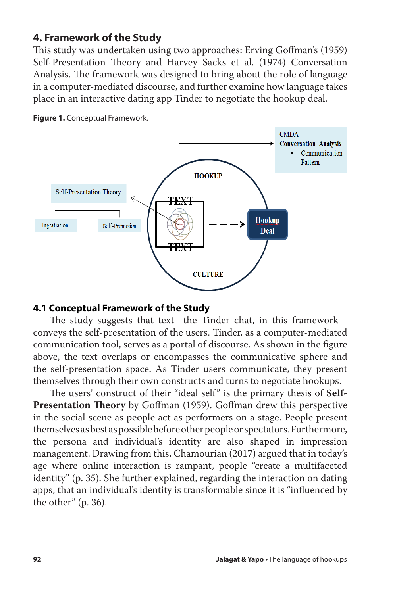# **4. Framework of the Study**

This study was undertaken using two approaches: Erving Goffman's (1959) Self-Presentation Theory and Harvey Sacks et al. (1974) Conversation Analysis. The framework was designed to bring about the role of language in a computer-mediated discourse, and further examine how language takes place in an interactive dating app Tinder to negotiate the hookup deal.



**Figure 1.** Conceptual Framework.

#### **4.1 Conceptual Framework of the Study**

The study suggests that text—the Tinder chat, in this framework conveys the self-presentation of the users. Tinder, as a computer-mediated communication tool, serves as a portal of discourse. As shown in the figure above, the text overlaps or encompasses the communicative sphere and the self-presentation space. As Tinder users communicate, they present themselves through their own constructs and turns to negotiate hookups.

The users' construct of their "ideal self" is the primary thesis of **Self-Presentation Theory** by Goffman (1959). Goffman drew this perspective in the social scene as people act as performers on a stage. People present themselves as best as possible before other people or spectators. Furthermore, the persona and individual's identity are also shaped in impression management. Drawing from this, Chamourian (2017) argued that in today's age where online interaction is rampant, people "create a multifaceted identity" (p. 35). She further explained, regarding the interaction on dating apps, that an individual's identity is transformable since it is "influenced by the other" (p. 36).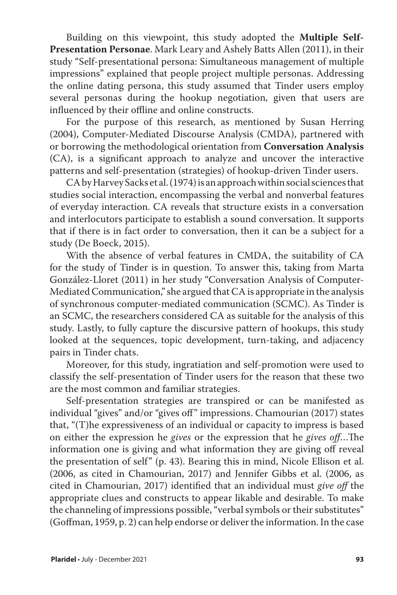Building on this viewpoint, this study adopted the **Multiple Self-Presentation Personae**. Mark Leary and Ashely Batts Allen (2011), in their study "Self-presentational persona: Simultaneous management of multiple impressions" explained that people project multiple personas. Addressing the online dating persona, this study assumed that Tinder users employ several personas during the hookup negotiation, given that users are influenced by their offline and online constructs.

For the purpose of this research, as mentioned by Susan Herring (2004), Computer-Mediated Discourse Analysis (CMDA), partnered with or borrowing the methodological orientation from **Conversation Analysis**  (CA), is a significant approach to analyze and uncover the interactive patterns and self-presentation (strategies) of hookup-driven Tinder users.

CA by Harvey Sacks et al. (1974) is an approach within social sciences that studies social interaction, encompassing the verbal and nonverbal features of everyday interaction. CA reveals that structure exists in a conversation and interlocutors participate to establish a sound conversation. It supports that if there is in fact order to conversation, then it can be a subject for a study (De Boeck, 2015).

With the absence of verbal features in CMDA, the suitability of CA for the study of Tinder is in question. To answer this, taking from Marta González-Lloret (2011) in her study "Conversation Analysis of Computer-Mediated Communication," she argued that CA is appropriate in the analysis of synchronous computer-mediated communication (SCMC). As Tinder is an SCMC, the researchers considered CA as suitable for the analysis of this study. Lastly, to fully capture the discursive pattern of hookups, this study looked at the sequences, topic development, turn-taking, and adjacency pairs in Tinder chats.

Moreover, for this study, ingratiation and self-promotion were used to classify the self-presentation of Tinder users for the reason that these two are the most common and familiar strategies.

Self-presentation strategies are transpired or can be manifested as individual "gives" and/or "gives off" impressions. Chamourian (2017) states that, "(T)he expressiveness of an individual or capacity to impress is based on either the expression he *gives* or the expression that he *gives off*…The information one is giving and what information they are giving off reveal the presentation of self" (p. 43). Bearing this in mind, Nicole Ellison et al. (2006, as cited in Chamourian, 2017) and Jennifer Gibbs et al. (2006, as cited in Chamourian, 2017) identified that an individual must *give off* the appropriate clues and constructs to appear likable and desirable. To make the channeling of impressions possible, "verbal symbols or their substitutes" (Goffman, 1959, p. 2) can help endorse or deliver the information. In the case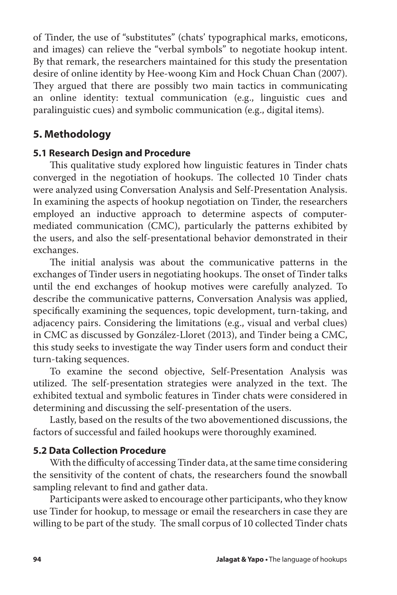of Tinder, the use of "substitutes" (chats' typographical marks, emoticons, and images) can relieve the "verbal symbols" to negotiate hookup intent. By that remark, the researchers maintained for this study the presentation desire of online identity by Hee-woong Kim and Hock Chuan Chan (2007). They argued that there are possibly two main tactics in communicating an online identity: textual communication (e.g., linguistic cues and paralinguistic cues) and symbolic communication (e.g., digital items).

# **5. Methodology**

#### **5.1 Research Design and Procedure**

This qualitative study explored how linguistic features in Tinder chats converged in the negotiation of hookups. The collected 10 Tinder chats were analyzed using Conversation Analysis and Self-Presentation Analysis. In examining the aspects of hookup negotiation on Tinder, the researchers employed an inductive approach to determine aspects of computermediated communication (CMC), particularly the patterns exhibited by the users, and also the self-presentational behavior demonstrated in their exchanges.

The initial analysis was about the communicative patterns in the exchanges of Tinder users in negotiating hookups. The onset of Tinder talks until the end exchanges of hookup motives were carefully analyzed. To describe the communicative patterns, Conversation Analysis was applied, specifically examining the sequences, topic development, turn-taking, and adjacency pairs. Considering the limitations (e.g., visual and verbal clues) in CMC as discussed by González-Lloret (2013), and Tinder being a CMC, this study seeks to investigate the way Tinder users form and conduct their turn-taking sequences.

To examine the second objective, Self-Presentation Analysis was utilized. The self-presentation strategies were analyzed in the text. The exhibited textual and symbolic features in Tinder chats were considered in determining and discussing the self-presentation of the users.

Lastly, based on the results of the two abovementioned discussions, the factors of successful and failed hookups were thoroughly examined.

## **5.2 Data Collection Procedure**

With the difficulty of accessing Tinder data, at the same time considering the sensitivity of the content of chats, the researchers found the snowball sampling relevant to find and gather data.

Participants were asked to encourage other participants, who they know use Tinder for hookup, to message or email the researchers in case they are willing to be part of the study. The small corpus of 10 collected Tinder chats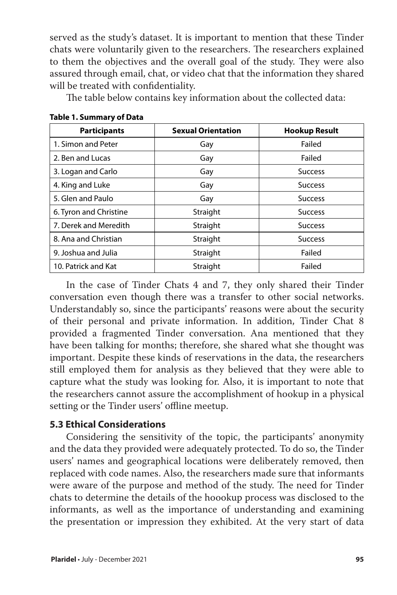served as the study's dataset. It is important to mention that these Tinder chats were voluntarily given to the researchers. The researchers explained to them the objectives and the overall goal of the study. They were also assured through email, chat, or video chat that the information they shared will be treated with confidentiality.

The table below contains key information about the collected data:

| <b>Participants</b>    | <b>Sexual Orientation</b> | <b>Hookup Result</b> |
|------------------------|---------------------------|----------------------|
| 1. Simon and Peter     | Gay                       | Failed               |
| 2. Ben and Lucas       | Gay                       | Failed               |
| 3. Logan and Carlo     | Gay                       | <b>Success</b>       |
| 4. King and Luke       | Gay                       | <b>Success</b>       |
| 5. Glen and Paulo      | Gay                       | <b>Success</b>       |
| 6. Tyron and Christine | Straight                  | <b>Success</b>       |
| 7. Derek and Meredith  | Straight                  | <b>Success</b>       |
| 8. Ana and Christian   | Straight                  | <b>Success</b>       |
| 9. Joshua and Julia    | Straight                  | Failed               |
| 10. Patrick and Kat    | Straight                  | Failed               |

**Table 1. Summary of Data**

In the case of Tinder Chats 4 and 7, they only shared their Tinder conversation even though there was a transfer to other social networks. Understandably so, since the participants' reasons were about the security of their personal and private information. In addition, Tinder Chat 8 provided a fragmented Tinder conversation. Ana mentioned that they have been talking for months; therefore, she shared what she thought was important. Despite these kinds of reservations in the data, the researchers still employed them for analysis as they believed that they were able to capture what the study was looking for. Also, it is important to note that the researchers cannot assure the accomplishment of hookup in a physical setting or the Tinder users' offline meetup.

## **5.3 Ethical Considerations**

Considering the sensitivity of the topic, the participants' anonymity and the data they provided were adequately protected. To do so, the Tinder users' names and geographical locations were deliberately removed, then replaced with code names. Also, the researchers made sure that informants were aware of the purpose and method of the study. The need for Tinder chats to determine the details of the hoookup process was disclosed to the informants, as well as the importance of understanding and examining the presentation or impression they exhibited. At the very start of data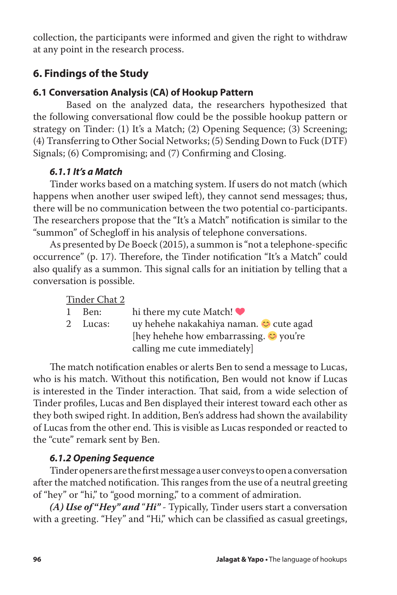collection, the participants were informed and given the right to withdraw at any point in the research process.

# **6. Findings of the Study**

# **6.1 Conversation Analysis (CA) of Hookup Pattern**

Based on the analyzed data, the researchers hypothesized that the following conversational flow could be the possible hookup pattern or strategy on Tinder: (1) It's a Match; (2) Opening Sequence; (3) Screening; (4) Transferring to Other Social Networks; (5) Sending Down to Fuck (DTF) Signals; (6) Compromising; and (7) Confirming and Closing.

# *6.1.1 It's a Match*

Tinder works based on a matching system. If users do not match (which happens when another user swiped left), they cannot send messages; thus, there will be no communication between the two potential co-participants. The researchers propose that the "It's a Match" notification is similar to the "summon" of Schegloff in his analysis of telephone conversations.

As presented by De Boeck (2015), a summon is "not a telephone-specific occurrence" (p. 17). Therefore, the Tinder notification "It's a Match" could also qualify as a summon. This signal calls for an initiation by telling that a conversation is possible.

|              | Tinder Chat 2 |                                                     |
|--------------|---------------|-----------------------------------------------------|
| $\mathbf{1}$ | Ben:          | hi there my cute Match! $\bullet$                   |
|              | 2 Lucas:      | uy hehehe nakakahiya naman. <del>○</del> cute agad  |
|              |               | [hey hehehe how embarrassing. $\circledcirc$ you're |
|              |               | calling me cute immediately                         |

The match notification enables or alerts Ben to send a message to Lucas, who is his match. Without this notification, Ben would not know if Lucas is interested in the Tinder interaction. That said, from a wide selection of Tinder profiles, Lucas and Ben displayed their interest toward each other as they both swiped right. In addition, Ben's address had shown the availability of Lucas from the other end. This is visible as Lucas responded or reacted to the "cute" remark sent by Ben.

# *6.1.2 Opening Sequence*

Tinder openers are the first message a user conveys to open a conversation after the matched notification. This ranges from the use of a neutral greeting of "hey" or "hi," to "good morning," to a comment of admiration.

*(A) Use of* **"***Hey" and* "*Hi" -* Typically, Tinder users start a conversation with a greeting. "Hey" and "Hi," which can be classified as casual greetings,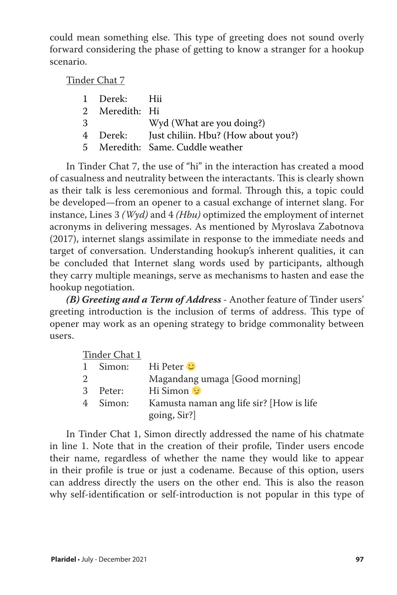could mean something else. This type of greeting does not sound overly forward considering the phase of getting to know a stranger for a hookup scenario.

Tinder Chat 7

|   | 1 Derek: Hii   |                                              |
|---|----------------|----------------------------------------------|
|   |                |                                              |
|   | 2 Meredith: Hi |                                              |
| 3 |                | Wyd (What are you doing?)                    |
|   |                | 4 Derek: Just chiliin. Hbu? (How about you?) |
|   |                | 5 Meredith: Same. Cuddle weather             |

In Tinder Chat 7, the use of "hi" in the interaction has created a mood of casualness and neutrality between the interactants. This is clearly shown as their talk is less ceremonious and formal. Through this, a topic could be developed—from an opener to a casual exchange of internet slang. For instance, Lines 3 *(Wyd)* and 4 *(Hbu)* optimized the employment of internet acronyms in delivering messages. As mentioned by Myroslava Zabotnova (2017), internet slangs assimilate in response to the immediate needs and target of conversation. Understanding hookup's inherent qualities, it can be concluded that Internet slang words used by participants, although they carry multiple meanings, serve as mechanisms to hasten and ease the hookup negotiation.

*(B) Greeting and a Term of Address -* Another feature of Tinder users' greeting introduction is the inclusion of terms of address. This type of opener may work as an opening strategy to bridge commonality between users.

|   | Tinder Chat 1 |                                                         |
|---|---------------|---------------------------------------------------------|
|   | 1 Simon:      | Hi Peter <b>∪</b>                                       |
| 2 |               | Magandang umaga [Good morning]                          |
|   | 3 Peter:      | Hi Simon                                                |
|   | 4 Simon:      | Kamusta naman ang life sir? [How is life<br>going, Sir? |

In Tinder Chat 1, Simon directly addressed the name of his chatmate in line 1. Note that in the creation of their profile, Tinder users encode their name, regardless of whether the name they would like to appear in their profile is true or just a codename. Because of this option, users can address directly the users on the other end. This is also the reason why self-identification or self-introduction is not popular in this type of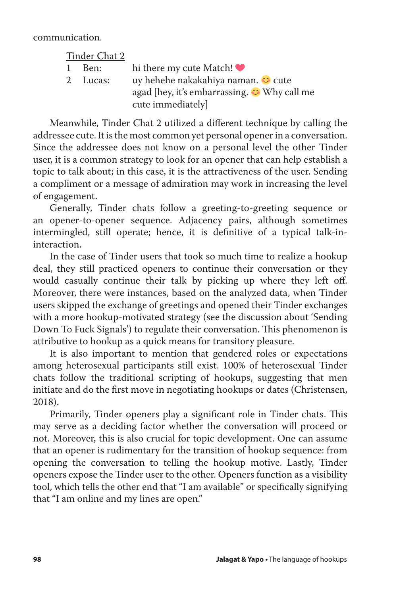communication.

|              | Tinder Chat 2 |                                                        |
|--------------|---------------|--------------------------------------------------------|
| $\mathbf{1}$ | Ben:          | hi there my cute Match! $\bullet$                      |
|              | 2 Lucas:      | uy hehehe nakakahiya naman. O cute                     |
|              |               | agad [hey, it's embarrassing. <sup>•</sup> Why call me |
|              |               | cute immediately]                                      |

Meanwhile, Tinder Chat 2 utilized a different technique by calling the addressee cute. It is the most common yet personal opener in a conversation. Since the addressee does not know on a personal level the other Tinder user, it is a common strategy to look for an opener that can help establish a topic to talk about; in this case, it is the attractiveness of the user. Sending a compliment or a message of admiration may work in increasing the level of engagement.

Generally, Tinder chats follow a greeting-to-greeting sequence or an opener-to-opener sequence. Adjacency pairs, although sometimes intermingled, still operate; hence, it is definitive of a typical talk-ininteraction.

In the case of Tinder users that took so much time to realize a hookup deal, they still practiced openers to continue their conversation or they would casually continue their talk by picking up where they left off. Moreover, there were instances, based on the analyzed data, when Tinder users skipped the exchange of greetings and opened their Tinder exchanges with a more hookup-motivated strategy (see the discussion about 'Sending Down To Fuck Signals') to regulate their conversation. This phenomenon is attributive to hookup as a quick means for transitory pleasure.

It is also important to mention that gendered roles or expectations among heterosexual participants still exist. 100% of heterosexual Tinder chats follow the traditional scripting of hookups, suggesting that men initiate and do the first move in negotiating hookups or dates (Christensen, 2018).

Primarily, Tinder openers play a significant role in Tinder chats. This may serve as a deciding factor whether the conversation will proceed or not. Moreover, this is also crucial for topic development. One can assume that an opener is rudimentary for the transition of hookup sequence: from opening the conversation to telling the hookup motive. Lastly, Tinder openers expose the Tinder user to the other. Openers function as a visibility tool, which tells the other end that "I am available" or specifically signifying that "I am online and my lines are open."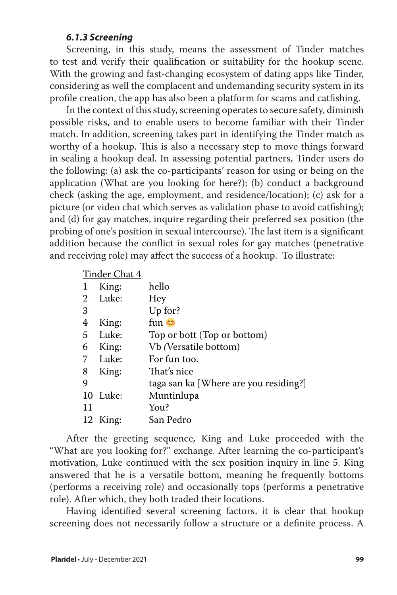#### *6.1.3 Screening*

Screening, in this study, means the assessment of Tinder matches to test and verify their qualification or suitability for the hookup scene. With the growing and fast-changing ecosystem of dating apps like Tinder, considering as well the complacent and undemanding security system in its profile creation, the app has also been a platform for scams and catfishing.

In the context of this study, screening operates to secure safety, diminish possible risks, and to enable users to become familiar with their Tinder match. In addition, screening takes part in identifying the Tinder match as worthy of a hookup. This is also a necessary step to move things forward in sealing a hookup deal. In assessing potential partners, Tinder users do the following: (a) ask the co-participants' reason for using or being on the application (What are you looking for here?); (b) conduct a background check (asking the age, employment, and residence/location); (c) ask for a picture (or video chat which serves as validation phase to avoid catfishing); and (d) for gay matches, inquire regarding their preferred sex position (the probing of one's position in sexual intercourse). The last item is a significant addition because the conflict in sexual roles for gay matches (penetrative and receiving role) may affect the success of a hookup. To illustrate:

#### Tinder Chat 4

| $\mathbf 1$ | King:    | hello                                 |
|-------------|----------|---------------------------------------|
| 2           | Luke:    | Hey                                   |
| 3           |          | Up for?                               |
| 4           | King:    | فت fun                                |
| 5           | Luke:    | Top or bott (Top or bottom)           |
| 6           | King:    | Vb (Versatile bottom)                 |
| 7           | Luke:    | For fun too.                          |
| 8           | King:    | That's nice                           |
| 9           |          | taga san ka [Where are you residing?] |
|             | 10 Luke: | Muntinlupa                            |
| 11          |          | You?                                  |
| 12          | King:    | San Pedro                             |

After the greeting sequence, King and Luke proceeded with the "What are you looking for?" exchange. After learning the co-participant's motivation, Luke continued with the sex position inquiry in line 5. King answered that he is a versatile bottom, meaning he frequently bottoms (performs a receiving role) and occasionally tops (performs a penetrative role). After which, they both traded their locations.

Having identified several screening factors, it is clear that hookup screening does not necessarily follow a structure or a definite process. A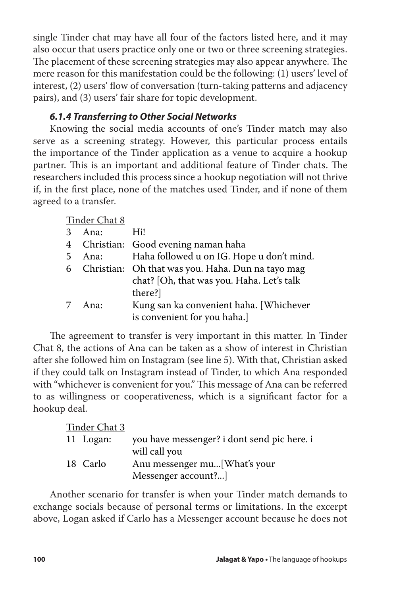single Tinder chat may have all four of the factors listed here, and it may also occur that users practice only one or two or three screening strategies. The placement of these screening strategies may also appear anywhere. The mere reason for this manifestation could be the following: (1) users' level of interest, (2) users' flow of conversation (turn-taking patterns and adjacency pairs), and (3) users' fair share for topic development.

## *6.1.4 Transferring to Other Social Networks*

Knowing the social media accounts of one's Tinder match may also serve as a screening strategy. However, this particular process entails the importance of the Tinder application as a venue to acquire a hookup partner. This is an important and additional feature of Tinder chats. The researchers included this process since a hookup negotiation will not thrive if, in the first place, none of the matches used Tinder, and if none of them agreed to a transfer.

Tinder Chat 8

|   | 3 Ana: | Hi!                                                 |
|---|--------|-----------------------------------------------------|
|   |        | 4 Christian: Good evening naman haha                |
| 5 |        | Ana: Haha followed u on IG. Hope u don't mind.      |
|   |        | 6 Christian: Oh that was you. Haha. Dun na tayo mag |
|   |        | chat? [Oh, that was you. Haha. Let's talk           |
|   |        | there?]                                             |
| 7 | Ana:   | Kung san ka convenient haha. [Whichever             |
|   |        | is convenient for you haha.]                        |
|   |        |                                                     |

The agreement to transfer is very important in this matter. In Tinder Chat 8, the actions of Ana can be taken as a show of interest in Christian after she followed him on Instagram (see line 5). With that, Christian asked if they could talk on Instagram instead of Tinder, to which Ana responded with "whichever is convenient for you." This message of Ana can be referred to as willingness or cooperativeness, which is a significant factor for a hookup deal.

| Tinder Chat 3 |                                             |
|---------------|---------------------------------------------|
| 11 Logan:     | you have messenger? i dont send pic here. i |
|               | will call you                               |
| 18 Carlo      | Anu messenger mu[What's your                |
|               | Messenger account?]                         |

Another scenario for transfer is when your Tinder match demands to exchange socials because of personal terms or limitations. In the excerpt above, Logan asked if Carlo has a Messenger account because he does not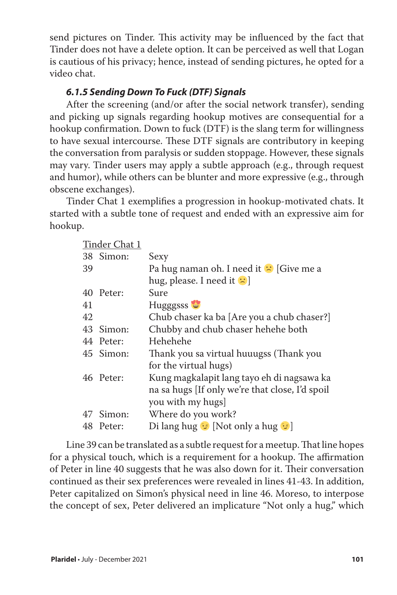send pictures on Tinder. This activity may be influenced by the fact that Tinder does not have a delete option. It can be perceived as well that Logan is cautious of his privacy; hence, instead of sending pictures, he opted for a video chat.

# *6.1.5 Sending Down To Fuck (DTF) Signals*

After the screening (and/or after the social network transfer), sending and picking up signals regarding hookup motives are consequential for a hookup confirmation. Down to fuck (DTF) is the slang term for willingness to have sexual intercourse. These DTF signals are contributory in keeping the conversation from paralysis or sudden stoppage. However, these signals may vary. Tinder users may apply a subtle approach (e.g., through request and humor), while others can be blunter and more expressive (e.g., through obscene exchanges).

Tinder Chat 1 exemplifies a progression in hookup-motivated chats. It started with a subtle tone of request and ended with an expressive aim for hookup.

|    | Tinder Chat 1 |                                                    |
|----|---------------|----------------------------------------------------|
|    | 38 Simon:     | Sexy                                               |
| 39 |               | Pa hug naman oh. I need it <sup>1</sup> [Give me a |
|    |               | hug, please. I need it $ $                         |
| 40 | Peter:        | Sure                                               |
| 41 |               | Hugggsss                                           |
| 42 |               | Chub chaser ka ba [Are you a chub chaser?]         |
| 43 | Simon:        | Chubby and chub chaser hehehe both                 |
|    | 44 Peter:     | Hehehehe                                           |
|    | 45 Simon:     | Thank you sa virtual huuugss (Thank you            |
|    |               | for the virtual hugs)                              |
|    | 46 Peter:     | Kung magkalapit lang tayo eh di nagsawa ka         |
|    |               | na sa hugs [If only we're that close, I'd spoil    |
|    |               | you with my hugs]                                  |
|    | 47 Simon:     | Where do you work?                                 |
|    | 48 Peter:     | Di lang hug $\odot$ [Not only a hug $\odot$ ]      |

Line 39 can be translated as a subtle request for a meetup. That line hopes for a physical touch, which is a requirement for a hookup. The affirmation of Peter in line 40 suggests that he was also down for it. Their conversation continued as their sex preferences were revealed in lines 41-43. In addition, Peter capitalized on Simon's physical need in line 46. Moreso, to interpose the concept of sex, Peter delivered an implicature "Not only a hug," which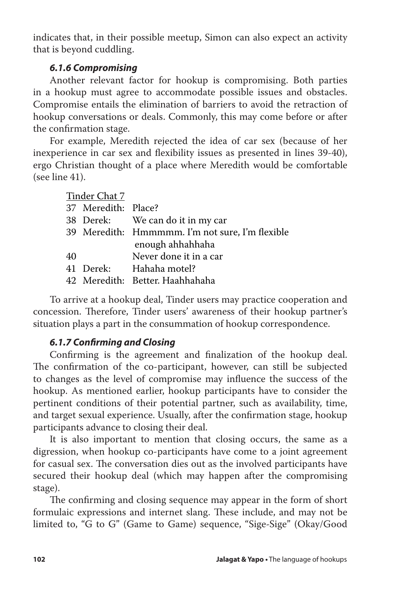indicates that, in their possible meetup, Simon can also expect an activity that is beyond cuddling.

# *6.1.6 Compromising*

Another relevant factor for hookup is compromising. Both parties in a hookup must agree to accommodate possible issues and obstacles. Compromise entails the elimination of barriers to avoid the retraction of hookup conversations or deals. Commonly, this may come before or after the confirmation stage.

For example, Meredith rejected the idea of car sex (because of her inexperience in car sex and flexibility issues as presented in lines 39-40), ergo Christian thought of a place where Meredith would be comfortable (see line 41).

|    | Tinder Chat 7       |                                                 |
|----|---------------------|-------------------------------------------------|
|    | 37 Meredith: Place? |                                                 |
|    |                     | 38 Derek: We can do it in my car                |
|    |                     | 39 Meredith: Hmmmmm. I'm not sure, I'm flexible |
|    |                     | enough ahhahhaha                                |
| 40 |                     | Never done it in a car                          |
|    |                     | 41 Derek: Hahaha motel?                         |
|    |                     | 42 Meredith: Better. Haahhahaha                 |
|    |                     |                                                 |

To arrive at a hookup deal, Tinder users may practice cooperation and concession. Therefore, Tinder users' awareness of their hookup partner's situation plays a part in the consummation of hookup correspondence.

## *6.1.7 Confirming and Closing*

Confirming is the agreement and finalization of the hookup deal. The confirmation of the co-participant, however, can still be subjected to changes as the level of compromise may influence the success of the hookup. As mentioned earlier, hookup participants have to consider the pertinent conditions of their potential partner, such as availability, time, and target sexual experience. Usually, after the confirmation stage, hookup participants advance to closing their deal.

It is also important to mention that closing occurs, the same as a digression, when hookup co-participants have come to a joint agreement for casual sex. The conversation dies out as the involved participants have secured their hookup deal (which may happen after the compromising stage).

The confirming and closing sequence may appear in the form of short formulaic expressions and internet slang. These include, and may not be limited to, "G to G" (Game to Game) sequence, "Sige-Sige" (Okay/Good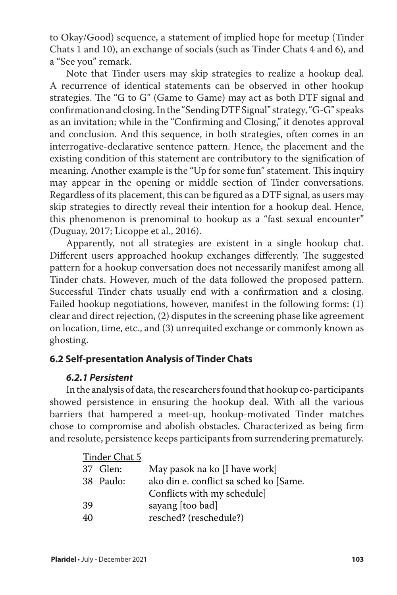to Okay/Good) sequence, a statement of implied hope for meetup (Tinder Chats 1 and 10), an exchange of socials (such as Tinder Chats 4 and 6), and a "See you" remark.

Note that Tinder users may skip strategies to realize a hookup deal. A recurrence of identical statements can be observed in other hookup strategies. The "G to G" (Game to Game) may act as both DTF signal and confirmation and closing. In the "Sending DTF Signal" strategy, "G-G" speaks as an invitation; while in the "Confirming and Closing," it denotes approval and conclusion. And this sequence, in both strategies, often comes in an interrogative-declarative sentence pattern. Hence, the placement and the existing condition of this statement are contributory to the signification of meaning. Another example is the "Up for some fun" statement. This inquiry may appear in the opening or middle section of Tinder conversations. Regardless of its placement, this can be figured as a DTF signal, as users may skip strategies to directly reveal their intention for a hookup deal. Hence, this phenomenon is prenominal to hookup as a "fast sexual encounter" (Duguay, 2017; Licoppe et al., 2016).

Apparently, not all strategies are existent in a single hookup chat. Different users approached hookup exchanges differently. The suggested pattern for a hookup conversation does not necessarily manifest among all Tinder chats. However, much of the data followed the proposed pattern. Successful Tinder chats usually end with a confirmation and a closing. Failed hookup negotiations, however, manifest in the following forms: (1) clear and direct rejection, (2) disputes in the screening phase like agreement on location, time, etc., and (3) unrequited exchange or commonly known as ghosting.

## **6.2 Self-presentation Analysis of Tinder Chats**

#### *6.2.1 Persistent*

In the analysis of data, the researchers found that hookup co-participants showed persistence in ensuring the hookup deal. With all the various barriers that hampered a meet-up, hookup-motivated Tinder matches chose to compromise and abolish obstacles. Characterized as being firm and resolute, persistence keeps participants from surrendering prematurely.

|    | Tinder Chat 5 |                                        |
|----|---------------|----------------------------------------|
|    | 37 Glen:      | May pasok na ko [I have work]          |
|    | 38 Paulo:     | ako din e. conflict sa sched ko [Same. |
|    |               | Conflicts with my schedule]            |
| 39 |               | sayang [too bad]                       |
| 40 |               | resched? (reschedule?)                 |
|    |               |                                        |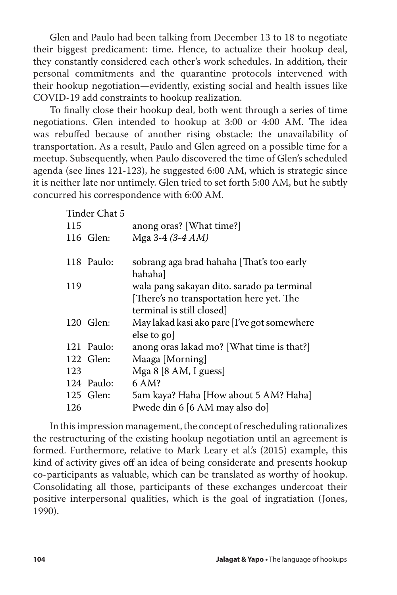Glen and Paulo had been talking from December 13 to 18 to negotiate their biggest predicament: time. Hence, to actualize their hookup deal, they constantly considered each other's work schedules. In addition, their personal commitments and the quarantine protocols intervened with their hookup negotiation—evidently, existing social and health issues like COVID-19 add constraints to hookup realization.

To finally close their hookup deal, both went through a series of time negotiations. Glen intended to hookup at 3:00 or 4:00 AM. The idea was rebuffed because of another rising obstacle: the unavailability of transportation. As a result, Paulo and Glen agreed on a possible time for a meetup. Subsequently, when Paulo discovered the time of Glen's scheduled agenda (see lines 121-123), he suggested 6:00 AM, which is strategic since it is neither late nor untimely. Glen tried to set forth 5:00 AM, but he subtly concurred his correspondence with 6:00 AM.

|     | Tinder Chat 5 |                                                                                                                     |
|-----|---------------|---------------------------------------------------------------------------------------------------------------------|
| 115 |               | anong oras? [What time?]                                                                                            |
|     | 116 Glen:     | Mga 3-4 (3-4 AM)                                                                                                    |
|     | 118 Paulo:    | sobrang aga brad hahaha [That's too early<br>hahaha]                                                                |
| 119 |               | wala pang sakayan dito. sarado pa terminal<br>[There's no transportation here yet. The<br>terminal is still closed] |
|     | 120 Glen:     | May lakad kasi ako pare [I've got somewhere<br>else to go]                                                          |
|     | 121 Paulo:    | anong oras lakad mo? [What time is that?]                                                                           |
|     | 122 Glen:     | Maaga [Morning]                                                                                                     |
| 123 |               | Mga 8 [8 AM, I guess]                                                                                               |
|     | 124 Paulo:    | 6 AM?                                                                                                               |
|     | 125 Glen:     | 5am kaya? Haha [How about 5 AM? Haha]                                                                               |
| 126 |               | Pwede din 6 [6 AM may also do]                                                                                      |

In this impression management, the concept of rescheduling rationalizes the restructuring of the existing hookup negotiation until an agreement is formed. Furthermore, relative to Mark Leary et al.'s (2015) example, this kind of activity gives off an idea of being considerate and presents hookup co-participants as valuable, which can be translated as worthy of hookup. Consolidating all those, participants of these exchanges undercoat their positive interpersonal qualities, which is the goal of ingratiation (Jones, 1990).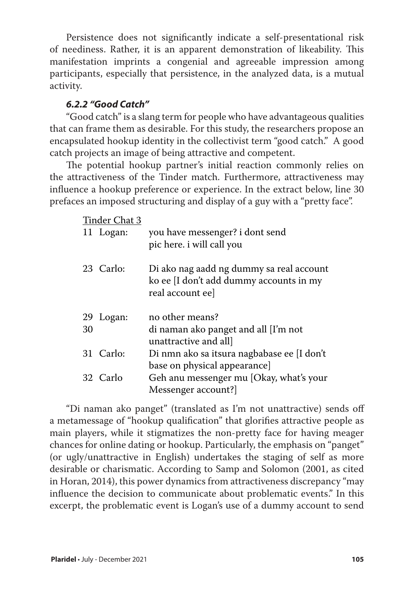Persistence does not significantly indicate a self-presentational risk of neediness. Rather, it is an apparent demonstration of likeability. This manifestation imprints a congenial and agreeable impression among participants, especially that persistence, in the analyzed data, is a mutual activity.

## *6.2.2 "Good Catch"*

"Good catch" is a slang term for people who have advantageous qualities that can frame them as desirable. For this study, the researchers propose an encapsulated hookup identity in the collectivist term "good catch." A good catch projects an image of being attractive and competent.

The potential hookup partner's initial reaction commonly relies on the attractiveness of the Tinder match. Furthermore, attractiveness may influence a hookup preference or experience. In the extract below, line 30 prefaces an imposed structuring and display of a guy with a "pretty face".

Tinder Chat 3

|    | THING OTHER |                                                                                     |
|----|-------------|-------------------------------------------------------------------------------------|
|    | 11 Logan:   | you have messenger? i dont send<br>pic here. i will call you                        |
|    | 23 Carlo:   |                                                                                     |
|    |             | Di ako nag aadd ng dummy sa real account<br>ko ee [I don't add dummy accounts in my |
|    |             | real account ee]                                                                    |
|    | 29 Logan:   | no other means?                                                                     |
| 30 |             | di naman ako panget and all [I'm not                                                |
|    |             | unattractive and all]                                                               |
|    | 31 Carlo:   | Di nmn ako sa itsura nagbabase ee [I don't                                          |
|    |             | base on physical appearance]                                                        |
|    | 32 Carlo    | Geh anu messenger mu [Okay, what's your                                             |
|    |             | Messenger account?                                                                  |

"Di naman ako panget" (translated as I'm not unattractive) sends off a metamessage of "hookup qualification" that glorifies attractive people as main players, while it stigmatizes the non-pretty face for having meager chances for online dating or hookup. Particularly, the emphasis on "panget" (or ugly/unattractive in English) undertakes the staging of self as more desirable or charismatic. According to Samp and Solomon (2001, as cited in Horan, 2014), this power dynamics from attractiveness discrepancy "may influence the decision to communicate about problematic events." In this excerpt, the problematic event is Logan's use of a dummy account to send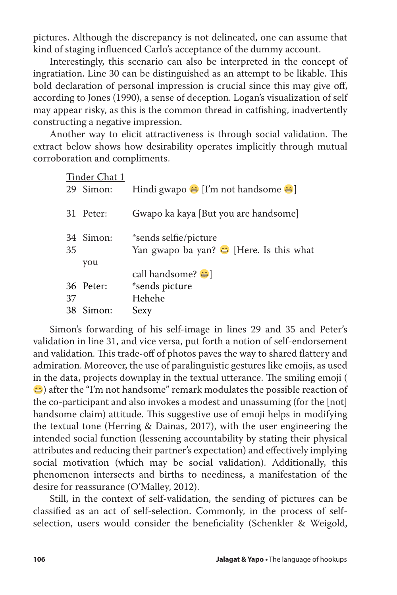pictures. Although the discrepancy is not delineated, one can assume that kind of staging influenced Carlo's acceptance of the dummy account.

Interestingly, this scenario can also be interpreted in the concept of ingratiation. Line 30 can be distinguished as an attempt to be likable. This bold declaration of personal impression is crucial since this may give off, according to Jones (1990), a sense of deception. Logan's visualization of self may appear risky, as this is the common thread in catfishing, inadvertently constructing a negative impression.

Another way to elicit attractiveness is through social validation. The extract below shows how desirability operates implicitly through mutual corroboration and compliments.

| Tinder Chat 1     |                                                         |
|-------------------|---------------------------------------------------------|
| 29 Simon:         | Hindi gwapo $\bigoplus$ [I'm not handsome $\bigoplus$ ] |
| 31 Peter:         | Gwapo ka kaya [But you are handsome]                    |
| 34 Simon:         | *sends selfie/picture                                   |
| 35                | Yan gwapo ba yan? $\bigoplus$ [Here. Is this what       |
| you               |                                                         |
|                   | call handsome? $\bigcirc$                               |
| 36 Peter:         | *sends picture                                          |
| Hehehe<br>37      |                                                         |
| 38 Simon:<br>Sexy |                                                         |

Simon's forwarding of his self-image in lines 29 and 35 and Peter's validation in line 31, and vice versa, put forth a notion of self-endorsement and validation. This trade-off of photos paves the way to shared flattery and admiration. Moreover, the use of paralinguistic gestures like emojis, as used in the data, projects downplay in the textual utterance. The smiling emoji ( ) after the "I'm not handsome" remark modulates the possible reaction of the co-participant and also invokes a modest and unassuming (for the [not] handsome claim) attitude. This suggestive use of emoji helps in modifying the textual tone (Herring & Dainas, 2017), with the user engineering the intended social function (lessening accountability by stating their physical attributes and reducing their partner's expectation) and effectively implying social motivation (which may be social validation). Additionally, this phenomenon intersects and births to neediness, a manifestation of the desire for reassurance (O'Malley, 2012).

Still, in the context of self-validation, the sending of pictures can be classified as an act of self-selection. Commonly, in the process of selfselection, users would consider the beneficiality (Schenkler & Weigold,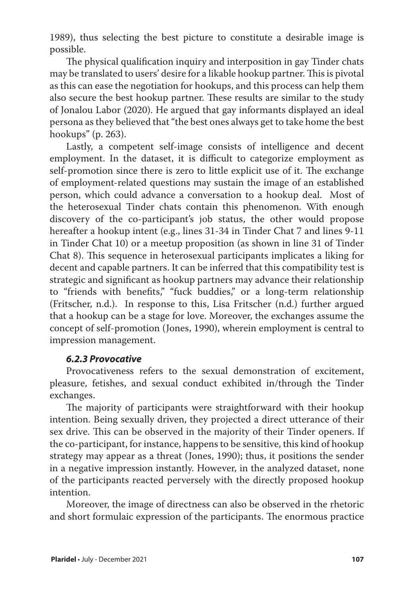1989), thus selecting the best picture to constitute a desirable image is possible.

The physical qualification inquiry and interposition in gay Tinder chats may be translated to users' desire for a likable hookup partner. This is pivotal as this can ease the negotiation for hookups, and this process can help them also secure the best hookup partner. These results are similar to the study of Jonalou Labor (2020). He argued that gay informants displayed an ideal persona as they believed that "the best ones always get to take home the best hookups" (p. 263).

Lastly, a competent self-image consists of intelligence and decent employment. In the dataset, it is difficult to categorize employment as self-promotion since there is zero to little explicit use of it. The exchange of employment-related questions may sustain the image of an established person, which could advance a conversation to a hookup deal. Most of the heterosexual Tinder chats contain this phenomenon. With enough discovery of the co-participant's job status, the other would propose hereafter a hookup intent (e.g., lines 31-34 in Tinder Chat 7 and lines 9-11 in Tinder Chat 10) or a meetup proposition (as shown in line 31 of Tinder Chat 8). This sequence in heterosexual participants implicates a liking for decent and capable partners. It can be inferred that this compatibility test is strategic and significant as hookup partners may advance their relationship to "friends with benefits," "fuck buddies," or a long-term relationship (Fritscher, n.d.). In response to this, Lisa Fritscher (n.d.) further argued that a hookup can be a stage for love. Moreover, the exchanges assume the concept of self-promotion (Jones, 1990), wherein employment is central to impression management.

#### *6.2.3 Provocative*

Provocativeness refers to the sexual demonstration of excitement, pleasure, fetishes, and sexual conduct exhibited in/through the Tinder exchanges.

The majority of participants were straightforward with their hookup intention. Being sexually driven, they projected a direct utterance of their sex drive. This can be observed in the majority of their Tinder openers. If the co-participant, for instance, happens to be sensitive, this kind of hookup strategy may appear as a threat (Jones, 1990); thus, it positions the sender in a negative impression instantly. However, in the analyzed dataset, none of the participants reacted perversely with the directly proposed hookup intention.

Moreover, the image of directness can also be observed in the rhetoric and short formulaic expression of the participants. The enormous practice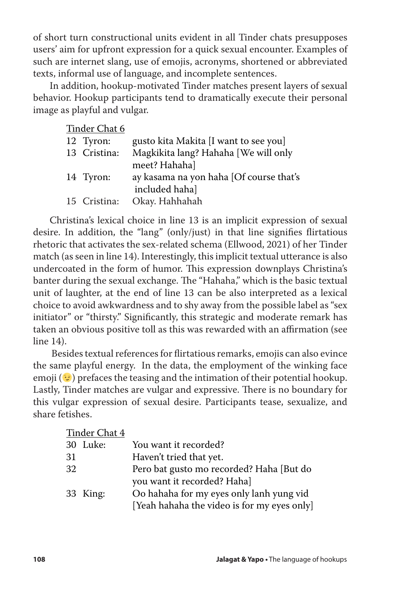of short turn constructional units evident in all Tinder chats presupposes users' aim for upfront expression for a quick sexual encounter. Examples of such are internet slang, use of emojis, acronyms, shortened or abbreviated texts, informal use of language, and incomplete sentences.

In addition, hookup-motivated Tinder matches present layers of sexual behavior. Hookup participants tend to dramatically execute their personal image as playful and vulgar.

| Tinder Chat 6 |                                         |
|---------------|-----------------------------------------|
| 12 Tyron:     | gusto kita Makita [I want to see you]   |
| 13 Cristina:  | Magkikita lang? Hahaha [We will only    |
|               | meet? Hahaha]                           |
| 14 Tyron:     | ay kasama na yon haha [Of course that's |
|               | included hahal                          |
| 15 Cristina:  | Okay. Hahhahah                          |
|               |                                         |

Christina's lexical choice in line 13 is an implicit expression of sexual desire. In addition, the "lang" (only/just) in that line signifies flirtatious rhetoric that activates the sex-related schema (Ellwood, 2021) of her Tinder match (as seen in line 14). Interestingly, this implicit textual utterance is also undercoated in the form of humor. This expression downplays Christina's banter during the sexual exchange. The "Hahaha," which is the basic textual unit of laughter, at the end of line 13 can be also interpreted as a lexical choice to avoid awkwardness and to shy away from the possible label as "sex initiator" or "thirsty." Significantly, this strategic and moderate remark has taken an obvious positive toll as this was rewarded with an affirmation (see line 14).

 Besides textual references for flirtatious remarks, emojis can also evince the same playful energy. In the data, the employment of the winking face emoji ( $\odot$ ) prefaces the teasing and the intimation of their potential hookup. Lastly, Tinder matches are vulgar and expressive. There is no boundary for this vulgar expression of sexual desire. Participants tease, sexualize, and share fetishes.

| Tinder Chat 4 |          |                                             |
|---------------|----------|---------------------------------------------|
|               | 30 Luke: | You want it recorded?                       |
| 31            |          | Haven't tried that yet.                     |
| 32            |          | Pero bat gusto mo recorded? Haha [But do    |
|               |          | you want it recorded? Haha]                 |
|               | 33 King: | Oo hahaha for my eyes only lanh yung vid    |
|               |          | [Yeah hahaha the video is for my eyes only] |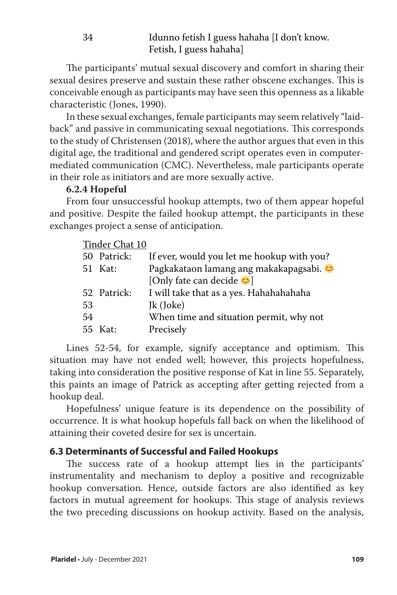The participants' mutual sexual discovery and comfort in sharing their sexual desires preserve and sustain these rather obscene exchanges. This is conceivable enough as participants may have seen this openness as a likable characteristic (Jones, 1990).

In these sexual exchanges, female participants may seem relatively "laidback" and passive in communicating sexual negotiations. This corresponds to the study of Christensen (2018), where the author argues that even in this digital age, the traditional and gendered script operates even in computermediated communication (CMC). Nevertheless, male participants operate in their role as initiators and are more sexually active.

## **6.2.4 Hopeful**

From four unsuccessful hookup attempts, two of them appear hopeful and positive. Despite the failed hookup attempt, the participants in these exchanges project a sense of anticipation.

|    | Tinder Chat 10 |                                            |
|----|----------------|--------------------------------------------|
|    | 50 Patrick:    | If ever, would you let me hookup with you? |
|    | 51 Kat:        | Pagkakataon lamang ang makakapagsabi. C    |
|    |                | [Only fate can decide $\odot$ ]            |
|    | 52 Patrick:    | I will take that as a yes. Hahahahahaha    |
| 53 |                | Jk (Joke)                                  |
| 54 |                | When time and situation permit, why not    |
|    | 55 Kat:        | Precisely                                  |
|    |                |                                            |

Lines 52-54, for example, signify acceptance and optimism. This situation may have not ended well; however, this projects hopefulness, taking into consideration the positive response of Kat in line 55. Separately, this paints an image of Patrick as accepting after getting rejected from a hookup deal.

Hopefulness' unique feature is its dependence on the possibility of occurrence. It is what hookup hopefuls fall back on when the likelihood of attaining their coveted desire for sex is uncertain.

# **6.3 Determinants of Successful and Failed Hookups**

The success rate of a hookup attempt lies in the participants' instrumentality and mechanism to deploy a positive and recognizable hookup conversation. Hence, outside factors are also identified as key factors in mutual agreement for hookups. This stage of analysis reviews the two preceding discussions on hookup activity. Based on the analysis,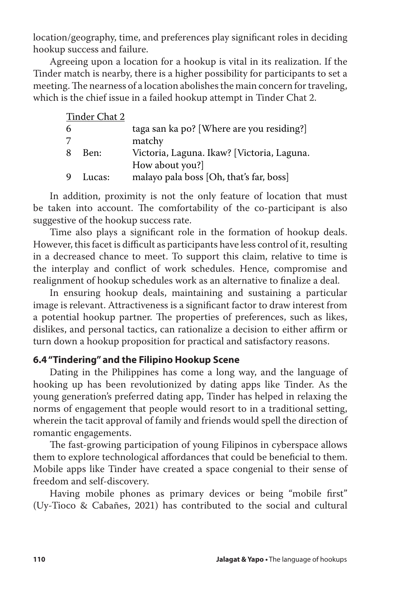location/geography, time, and preferences play significant roles in deciding hookup success and failure.

Agreeing upon a location for a hookup is vital in its realization. If the Tinder match is nearby, there is a higher possibility for participants to set a meeting. The nearness of a location abolishes the main concern for traveling, which is the chief issue in a failed hookup attempt in Tinder Chat 2.

| Tinder Chat 2 |                                            |
|---------------|--------------------------------------------|
|               | taga san ka po? [Where are you residing?]  |
|               | matchy                                     |
| Ben:          | Victoria, Laguna. Ikaw? [Victoria, Laguna. |
|               | How about you?]                            |
| Lucas:        | malayo pala boss [Oh, that's far, boss]    |
|               |                                            |

In addition, proximity is not the only feature of location that must be taken into account. The comfortability of the co-participant is also suggestive of the hookup success rate.

Time also plays a significant role in the formation of hookup deals. However, this facet is difficult as participants have less control of it, resulting in a decreased chance to meet. To support this claim, relative to time is the interplay and conflict of work schedules. Hence, compromise and realignment of hookup schedules work as an alternative to finalize a deal.

In ensuring hookup deals, maintaining and sustaining a particular image is relevant. Attractiveness is a significant factor to draw interest from a potential hookup partner. The properties of preferences, such as likes, dislikes, and personal tactics, can rationalize a decision to either affirm or turn down a hookup proposition for practical and satisfactory reasons.

## **6.4 "Tindering" and the Filipino Hookup Scene**

Dating in the Philippines has come a long way, and the language of hooking up has been revolutionized by dating apps like Tinder. As the young generation's preferred dating app, Tinder has helped in relaxing the norms of engagement that people would resort to in a traditional setting, wherein the tacit approval of family and friends would spell the direction of romantic engagements.

The fast-growing participation of young Filipinos in cyberspace allows them to explore technological affordances that could be beneficial to them. Mobile apps like Tinder have created a space congenial to their sense of freedom and self-discovery.

Having mobile phones as primary devices or being "mobile first" (Uy-Tioco & Cabañes, 2021) has contributed to the social and cultural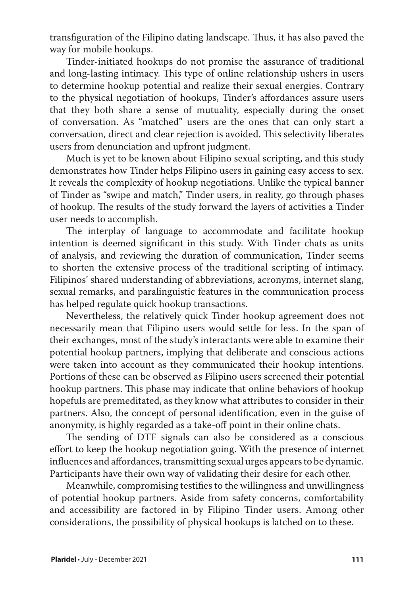transfiguration of the Filipino dating landscape. Thus, it has also paved the way for mobile hookups.

Tinder-initiated hookups do not promise the assurance of traditional and long-lasting intimacy. This type of online relationship ushers in users to determine hookup potential and realize their sexual energies. Contrary to the physical negotiation of hookups, Tinder's affordances assure users that they both share a sense of mutuality, especially during the onset of conversation. As "matched" users are the ones that can only start a conversation, direct and clear rejection is avoided. This selectivity liberates users from denunciation and upfront judgment.

Much is yet to be known about Filipino sexual scripting, and this study demonstrates how Tinder helps Filipino users in gaining easy access to sex. It reveals the complexity of hookup negotiations. Unlike the typical banner of Tinder as "swipe and match," Tinder users, in reality, go through phases of hookup. The results of the study forward the layers of activities a Tinder user needs to accomplish.

The interplay of language to accommodate and facilitate hookup intention is deemed significant in this study. With Tinder chats as units of analysis, and reviewing the duration of communication, Tinder seems to shorten the extensive process of the traditional scripting of intimacy. Filipinos' shared understanding of abbreviations, acronyms, internet slang, sexual remarks, and paralinguistic features in the communication process has helped regulate quick hookup transactions.

Nevertheless, the relatively quick Tinder hookup agreement does not necessarily mean that Filipino users would settle for less. In the span of their exchanges, most of the study's interactants were able to examine their potential hookup partners, implying that deliberate and conscious actions were taken into account as they communicated their hookup intentions. Portions of these can be observed as Filipino users screened their potential hookup partners. This phase may indicate that online behaviors of hookup hopefuls are premeditated, as they know what attributes to consider in their partners. Also, the concept of personal identification, even in the guise of anonymity, is highly regarded as a take-off point in their online chats.

The sending of DTF signals can also be considered as a conscious effort to keep the hookup negotiation going. With the presence of internet influences and affordances, transmitting sexual urges appears to be dynamic. Participants have their own way of validating their desire for each other.

Meanwhile, compromising testifies to the willingness and unwillingness of potential hookup partners. Aside from safety concerns, comfortability and accessibility are factored in by Filipino Tinder users. Among other considerations, the possibility of physical hookups is latched on to these.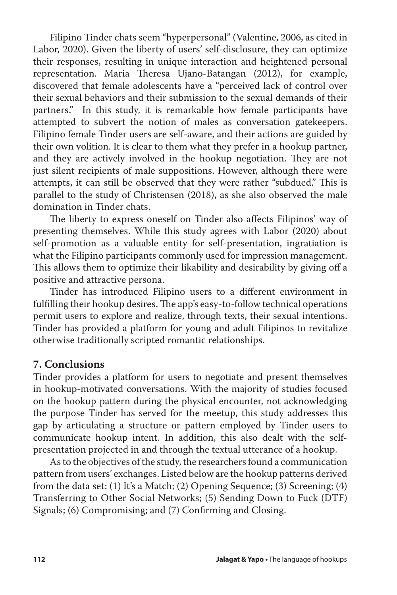Filipino Tinder chats seem "hyperpersonal" (Valentine, 2006, as cited in Labor, 2020). Given the liberty of users' self-disclosure, they can optimize their responses, resulting in unique interaction and heightened personal representation. Maria Theresa Ujano-Batangan (2012), for example, discovered that female adolescents have a "perceived lack of control over their sexual behaviors and their submission to the sexual demands of their partners." In this study, it is remarkable how female participants have attempted to subvert the notion of males as conversation gatekeepers. Filipino female Tinder users are self-aware, and their actions are guided by their own volition. It is clear to them what they prefer in a hookup partner, and they are actively involved in the hookup negotiation. They are not just silent recipients of male suppositions. However, although there were attempts, it can still be observed that they were rather "subdued." This is parallel to the study of Christensen (2018), as she also observed the male domination in Tinder chats.

The liberty to express oneself on Tinder also affects Filipinos' way of presenting themselves. While this study agrees with Labor (2020) about self-promotion as a valuable entity for self-presentation, ingratiation is what the Filipino participants commonly used for impression management. This allows them to optimize their likability and desirability by giving off a positive and attractive persona.

Tinder has introduced Filipino users to a different environment in fulfilling their hookup desires. The app's easy-to-follow technical operations permit users to explore and realize, through texts, their sexual intentions. Tinder has provided a platform for young and adult Filipinos to revitalize otherwise traditionally scripted romantic relationships.

#### **7. Conclusions**

Tinder provides a platform for users to negotiate and present themselves in hookup-motivated conversations. With the majority of studies focused on the hookup pattern during the physical encounter, not acknowledging the purpose Tinder has served for the meetup, this study addresses this gap by articulating a structure or pattern employed by Tinder users to communicate hookup intent. In addition, this also dealt with the selfpresentation projected in and through the textual utterance of a hookup.

As to the objectives of the study, the researchers found a communication pattern from users' exchanges. Listed below are the hookup patterns derived from the data set: (1) It's a Match; (2) Opening Sequence; (3) Screening; (4) Transferring to Other Social Networks; (5) Sending Down to Fuck (DTF) Signals; (6) Compromising; and (7) Confirming and Closing.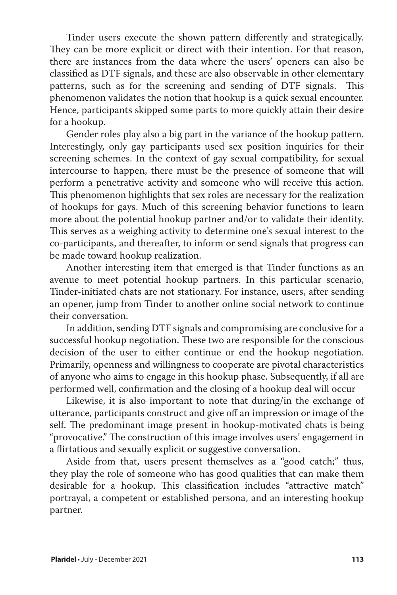Tinder users execute the shown pattern differently and strategically. They can be more explicit or direct with their intention. For that reason, there are instances from the data where the users' openers can also be classified as DTF signals, and these are also observable in other elementary patterns, such as for the screening and sending of DTF signals. This phenomenon validates the notion that hookup is a quick sexual encounter. Hence, participants skipped some parts to more quickly attain their desire for a hookup.

Gender roles play also a big part in the variance of the hookup pattern. Interestingly, only gay participants used sex position inquiries for their screening schemes. In the context of gay sexual compatibility, for sexual intercourse to happen, there must be the presence of someone that will perform a penetrative activity and someone who will receive this action. This phenomenon highlights that sex roles are necessary for the realization of hookups for gays. Much of this screening behavior functions to learn more about the potential hookup partner and/or to validate their identity. This serves as a weighing activity to determine one's sexual interest to the co-participants, and thereafter, to inform or send signals that progress can be made toward hookup realization.

Another interesting item that emerged is that Tinder functions as an avenue to meet potential hookup partners. In this particular scenario, Tinder-initiated chats are not stationary. For instance, users, after sending an opener, jump from Tinder to another online social network to continue their conversation.

In addition, sending DTF signals and compromising are conclusive for a successful hookup negotiation. These two are responsible for the conscious decision of the user to either continue or end the hookup negotiation. Primarily, openness and willingness to cooperate are pivotal characteristics of anyone who aims to engage in this hookup phase. Subsequently, if all are performed well, confirmation and the closing of a hookup deal will occur

Likewise, it is also important to note that during/in the exchange of utterance, participants construct and give off an impression or image of the self. The predominant image present in hookup-motivated chats is being "provocative." The construction of this image involves users' engagement in a flirtatious and sexually explicit or suggestive conversation.

Aside from that, users present themselves as a "good catch;" thus, they play the role of someone who has good qualities that can make them desirable for a hookup. This classification includes "attractive match" portrayal, a competent or established persona, and an interesting hookup partner.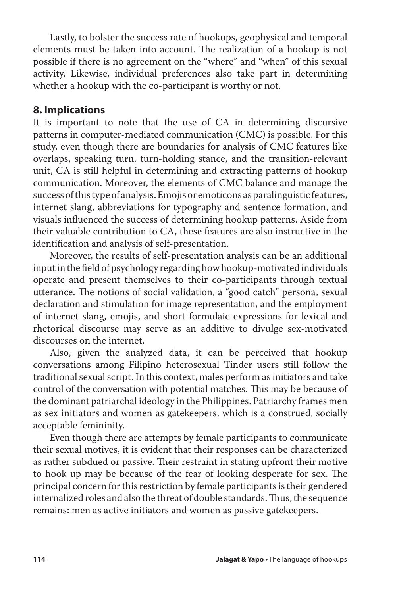Lastly, to bolster the success rate of hookups, geophysical and temporal elements must be taken into account. The realization of a hookup is not possible if there is no agreement on the "where" and "when" of this sexual activity. Likewise, individual preferences also take part in determining whether a hookup with the co-participant is worthy or not.

## **8. Implications**

It is important to note that the use of CA in determining discursive patterns in computer-mediated communication (CMC) is possible. For this study, even though there are boundaries for analysis of CMC features like overlaps, speaking turn, turn-holding stance, and the transition-relevant unit, CA is still helpful in determining and extracting patterns of hookup communication. Moreover, the elements of CMC balance and manage the success of this type of analysis. Emojis or emoticons as paralinguistic features, internet slang, abbreviations for typography and sentence formation, and visuals influenced the success of determining hookup patterns. Aside from their valuable contribution to CA, these features are also instructive in the identification and analysis of self-presentation.

Moreover, the results of self-presentation analysis can be an additional input in the field of psychology regarding how hookup-motivated individuals operate and present themselves to their co-participants through textual utterance. The notions of social validation, a "good catch" persona, sexual declaration and stimulation for image representation, and the employment of internet slang, emojis, and short formulaic expressions for lexical and rhetorical discourse may serve as an additive to divulge sex-motivated discourses on the internet.

Also, given the analyzed data, it can be perceived that hookup conversations among Filipino heterosexual Tinder users still follow the traditional sexual script. In this context, males perform as initiators and take control of the conversation with potential matches. This may be because of the dominant patriarchal ideology in the Philippines. Patriarchy frames men as sex initiators and women as gatekeepers, which is a construed, socially acceptable femininity.

Even though there are attempts by female participants to communicate their sexual motives, it is evident that their responses can be characterized as rather subdued or passive. Their restraint in stating upfront their motive to hook up may be because of the fear of looking desperate for sex. The principal concern for this restriction by female participants is their gendered internalized roles and also the threat of double standards. Thus, the sequence remains: men as active initiators and women as passive gatekeepers.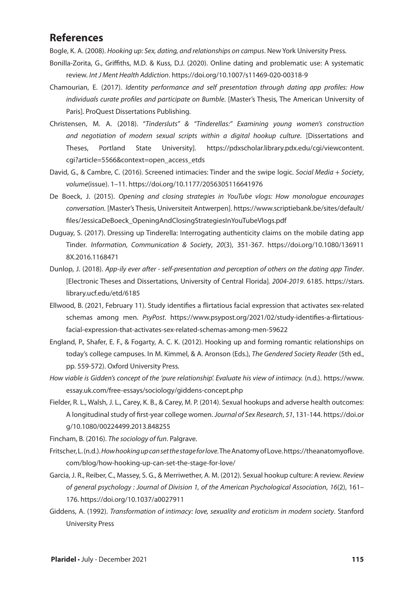## **References**

Bogle, K. A. (2008). *Hooking up: Sex, dating, and relationships on campus*. New York University Press.

- Bonilla-Zorita, G., Griffiths, M.D. & Kuss, D.J. (2020). Online dating and problematic use: A systematic review. *Int J Ment Health Addiction*. https://doi.org/10.1007/s11469-020-00318-9
- Chamourian, E. (2017). *Identity performance and self presentation through dating app profiles: How individuals curate profiles and participate on Bumble*. [Master's Thesis, The American University of Paris]. ProQuest Dissertations Publishing.
- Christensen, M. A. (2018). "*Tindersluts" & "Tinderellas:" Examining young women's construction and negotiation of modern sexual scripts within a digital hookup culture*. [Dissertations and Theses, Portland State University]. https://pdxscholar.library.pdx.edu/cgi/viewcontent. cgi?article=5566&context=open\_access\_etds
- David, G., & Cambre, C. (2016). Screened intimacies: Tinder and the swipe logic. *Social Media + Society*, *volume*(issue). 1–11. https://doi.org/10.1177/2056305116641976
- De Boeck, J. (2015). *Opening and closing strategies in YouTube vlogs: How monologue encourages conversation.* [Master's Thesis, Universiteit Antwerpen]. https://www.scriptiebank.be/sites/default/ files/JessicaDeBoeck\_OpeningAndClosingStrategiesInYouTubeVlogs.pdf
- Duguay, S. (2017). Dressing up Tinderella: Interrogating authenticity claims on the mobile dating app Tinder. *Information, Communication & Society*, *20*(3), 351-367. https://doi.org/10.1080/136911 8X.2016.1168471
- Dunlop, J. (2018). *App-ily ever after self-presentation and perception of others on the dating app Tinder*. [Electronic Theses and Dissertations, University of Central Florida]*. 2004-2019*. 6185. https://stars. library.ucf.edu/etd/6185
- Ellwood, B. (2021, February 11). Study identifies a flirtatious facial expression that activates sex-related schemas among men. *PsyPost*. https://www.psypost.org/2021/02/study-identifies-a-flirtatiousfacial-expression-that-activates-sex-related-schemas-among-men-59622
- England, P., Shafer, E. F., & Fogarty, A. C. K. (2012). Hooking up and forming romantic relationships on today's college campuses. In M. Kimmel, & A. Aronson (Eds.), *The Gendered Society Reader* (5th ed., pp. 559-572). Oxford University Press.
- *How viable is Gidden's concept of the 'pure relationship'. Evaluate his view of intimacy.* (n.d.). https://www. essay.uk.com/free-essays/sociology/giddens-concept.php
- Fielder, R. L., Walsh, J. L., Carey, K. B., & Carey, M. P. (2014). Sexual hookups and adverse health outcomes: A longitudinal study of first-year college women. *Journal of Sex Research*, *51*, 131-144. https://doi.or g/10.1080/00224499.2013.848255

Fincham, B. (2016). *The sociology of fun*. Palgrave.

- Fritscher, L. (n.d.). *How hooking up can set the stage for love.* The Anatomy of Love.https://theanatomyoflove. com/blog/how-hooking-up-can-set-the-stage-for-love/
- Garcia, J. R., Reiber, C., Massey, S. G., & Merriwether, A. M. (2012). Sexual hookup culture: A review. *Review of general psychology : Journal of Division 1, of the American Psychological Association*, *16*(2), 161– 176. https://doi.org/10.1037/a0027911
- Giddens, A. (1992). *Transformation of intimacy: love, sexuality and eroticism in modern society*. Stanford University Press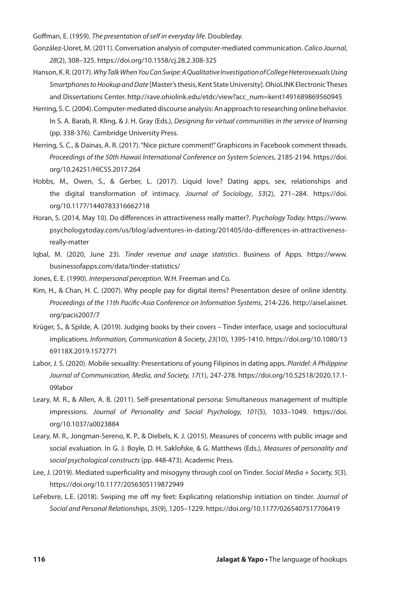Goffman, E. (1959). *The presentation of self in everyday life*. Doubleday.

- González-Lloret, M. (2011). Conversation analysis of computer-mediated communication. *Calico Journal*, *28*(2), 308–325. https://doi.org/10.1558/cj.28.2.308-325
- Hanson, K. R. (2017). *Why Talk When You Can Swipe: A Qualitative Investigation of College Heterosexuals Using Smartphones to Hookup and Date* [Master's thesis, Kent State University]. OhioLINK Electronic Theses and Dissertations Center. http://rave.ohiolink.edu/etdc/view?acc\_num=kent1491689869560945
- Herring, S. C. (2004). Computer-mediated discourse analysis: An approach to researching online behavior. In S. A. Barab, R. Kling, & J. H. Gray (Eds.), *Designing for virtual communities in the service of learning* (pp. 338-376). Cambridge University Press.
- Herring, S. C., & Dainas, A. R. (2017). "Nice picture comment!" Graphicons in Facebook comment threads. *Proceedings of the 50th Hawaii International Conference on System Sciences*, 2185-2194. https://doi. org/10.24251/HICSS.2017.264
- Hobbs, M., Owen, S., & Gerber, L. (2017). Liquid love? Dating apps, sex, relationships and the digital transformation of intimacy. *Journal of Sociology*, *53*(2), 271–284. https://doi. org/10.1177/1440783316662718
- Horan, S. (2014, May 10). Do differences in attractiveness really matter?. *Psychology Today.* https://www. psychologytoday.com/us/blog/adventures-in-dating/201405/do-differences-in-attractivenessreally-matter
- Iqbal, M. (2020, June 23). *Tinder revenue and usage statistics*. Business of Apps. https://www. businessofapps.com/data/tinder-statistics/
- Jones, E. E. (1990). *Interpersonal perception*. W.H. Freeman and Co.
- Kim, H., & Chan, H. C. (2007). Why people pay for digital items? Presentation desire of online identity. *Proceedings of the 11th Pacific-Asia Conference on Information Systems*, 214-226. http://aisel.aisnet. org/pacis2007/7
- Krüger, S., & Spilde, A. (2019). Judging books by their covers Tinder interface, usage and sociocultural implications. *Information, Communication & Society*, *23*(10), 1395-1410. https://doi.org/10.1080/13 69118X.2019.1572771
- Labor, J. S. (2020). Mobile sexuality: Presentations of young Filipinos in dating apps. *Plaridel: A Philippine Journal of Communication, Media, and Society, 17*(1), 247-278. https://doi.org/10.52518/2020.17.1- 09labor
- Leary, M. R., & Allen, A. B. (2011). Self-presentational persona: Simultaneous management of multiple impressions. *Journal of Personality and Social Psychology, 101*(5), 1033–1049. https://doi. org/10.1037/a0023884
- Leary, M. R., Jongman-Sereno, K. P., & Diebels, K. J. (2015). Measures of concerns with public image and social evaluation. In G. J. Boyle, D. H. Saklofske, & G. Matthews (Eds.), *Measures of personality and social psychological constructs* (pp. 448-473). Academic Press.
- Lee, J. (2019). Mediated superficiality and misogyny through cool on Tinder. *Social Media + Society, 5*(3). https://doi.org/10.1177/2056305119872949
- LeFebvre, L.E. (2018). Swiping me off my feet: Explicating relationship initiation on tinder. *Journal of Social and Personal Relationships*, *35*(9), 1205–1229. https://doi.org/10.1177/0265407517706419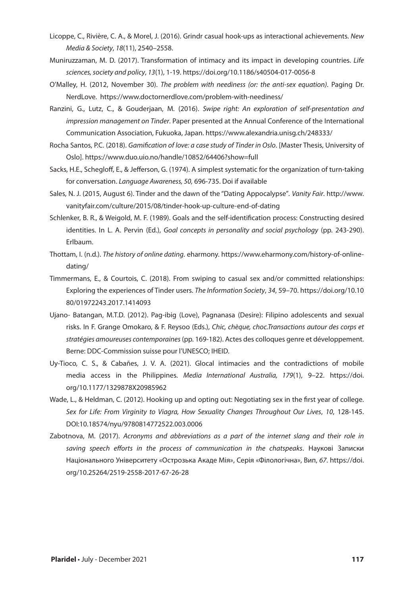- Licoppe, C., Rivière, C. A., & Morel, J. (2016). Grindr casual hook-ups as interactional achievements. *New Media & Society*, *18*(11), 2540–2558.
- Muniruzzaman, M. D. (2017). Transformation of intimacy and its impact in developing countries. *Life sciences, society and policy*, *13*(1), 1-19. https://doi.org/10.1186/s40504-017-0056-8
- O'Malley, H. (2012, November 30). *The problem with neediness (or: the anti-sex equation)*. Paging Dr. NerdLove. https://www.doctornerdlove.com/problem-with-neediness/
- Ranzini, G., Lutz, C., & Gouderjaan, M. (2016). *Swipe right: An exploration of self-presentation and impression management on Tinder*. Paper presented at the Annual Conference of the International Communication Association, Fukuoka, Japan. https://www.alexandria.unisg.ch/248333/
- Rocha Santos, P.C. (2018). *Gamification of love: a case study of Tinder in Oslo*. [Master Thesis, University of Oslo]. https://www.duo.uio.no/handle/10852/64406?show=full
- Sacks, H.E., Schegloff, E., & Jefferson, G. (1974). A simplest systematic for the organization of turn-taking for conversation. *Language Awareness, 50,* 696-735. Doi if available
- Sales, N. J. (2015, August 6). Tinder and the dawn of the "Dating Appocalypse"*. Vanity Fair*. http://www. vanityfair.com/culture/2015/08/tinder-hook-up-culture-end-of-dating
- Schlenker, B. R., & Weigold, M. F. (1989). Goals and the self-identification process: Constructing desired identities. In L. A. Pervin (Ed.), *Goal concepts in personality and social psychology* (pp. 243-290). Erlbaum.
- Thottam, I. (n.d.). *The history of online dating*. eharmony. https://www.eharmony.com/history-of-onlinedating/
- Timmermans, E., & Courtois, C. (2018). From swiping to casual sex and/or committed relationships: Exploring the experiences of Tinder users. *The Information Society*, *34*, 59–70. https://doi.org/10.10 80/01972243.2017.1414093
- Ujano- Batangan, M.T.D. (2012). Pag-ibig (Love), Pagnanasa (Desire): Filipino adolescents and sexual risks. In F. Grange Omokaro, & F. Reysoo (Eds.), *Chic, chèque, choc.Transactions autour des corps et stratégies amoureuses contemporaines* (pp. 169-182). Actes des colloques genre et développement. Berne: DDC-Commission suisse pour l'UNESCO; IHEID.
- Uy-Tioco, C. S., & Cabañes, J. V. A. (2021). Glocal intimacies and the contradictions of mobile media access in the Philippines. *Media International Australia, 179*(1), 9–22. https://doi. org/10.1177/1329878X20985962
- Wade, L., & Heldman, C. (2012). Hooking up and opting out: Negotiating sex in the first year of college. *Sex for Life: From Virginity to Viagra, How Sexuality Changes Throughout Our Lives*, *10*, 128-145. DOI:10.18574/nyu/9780814772522.003.0006
- Zabotnova, M. (2017). *Acronyms and abbreviations as a part of the internet slang and their role in saving speech efforts in the process of communication in the chatspeaks*. Наукові Записки Національного Університету «Острозька Акаде Мія», Серія «Філологічна», Вип, *67*. https://doi. org/10.25264/2519-2558-2017-67-26-28